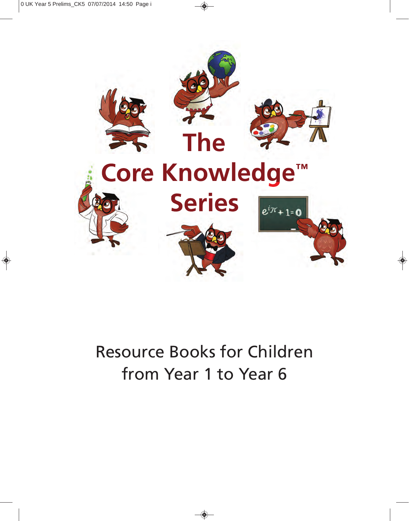

## Resource Books for Children from Year 1 to Year 6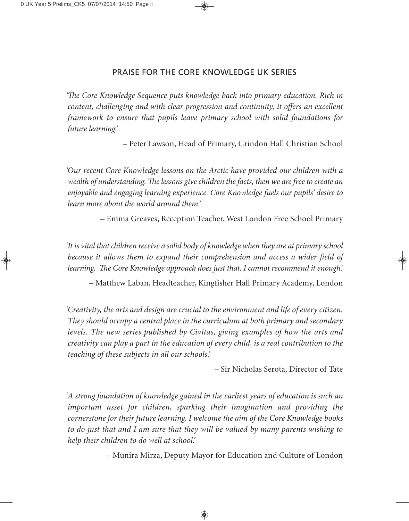#### PRAISE FOR THE CORE KNOWLEDGE UK SERIES

'The Core Knowledge Sequence puts knowledge back into primary education. Rich in content, challenging and with clear progression and continuity, it offers an excellent framework to ensure that pupils leave primary school with solid foundations for future learning.'

– Peter Lawson, Head of Primary, Grindon Hall Christian School

'Our recent Core Knowledge lessons on the Arctic have provided our children with a wealth of understanding. The lessons give children the facts, then we are free to create an enjoyable and engaging learning experience. Core Knowledge fuels our pupils' desire to learn more about the world around them.'

– Emma Greaves, Reception Teacher, West London Free School Primary

'It is vital that children receive a solid body of knowledge when they are at primary school because it allows them to expand their comprehension and access a wider field of learning. The Core Knowledge approach does just that. I cannot recommend it enough.'

– Matthew Laban, Headteacher, Kingfisher Hall Primary Academy, London

'Creativity, the arts and design are crucial to the environment and life of every citizen. They should occupy a central place in the curriculum at both primary and secondary levels. The new series published by Civitas, giving examples of how the arts and creativity can play a part in the education of every child, is a real contribution to the teaching of these subjects in all our schools.'

– Sir Nicholas Serota, Director of Tate

'A strong foundation of knowledge gained in the earliest years of education is such an important asset for children, sparking their imagination and providing the cornerstone for their future learning. I welcome the aim of the Core Knowledge books to do just that and I am sure that they will be valued by many parents wishing to help their children to do well at school.'

– Munira Mirza, Deputy Mayor for Education and Culture of London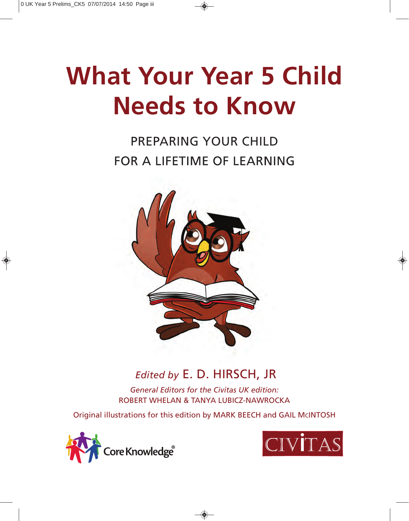# **What Your Year 5 Child Needs to Know**

PREPARING YOUR CHILD FOR A LIFETIME OF LEARNING



#### *Edited by* E. D. HIRSCH, JR

*General Editors for the Civitas UK edition:* ROBERT WHELAN & TANYA LUBICZ-NAWROCKA

Original illustrations for this edition by MARK BEECH and GAIL MCINTOSH



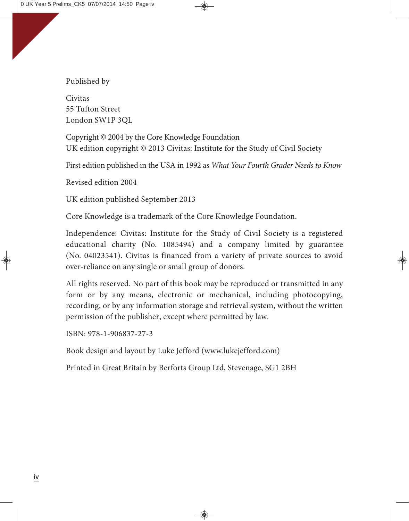Published by

Civitas 55 Tufton Street London SW1P 3QL

Copyright © 2004 by the Core Knowledge Foundation UK edition copyright © 2013 Civitas: Institute for the Study of Civil Society

First edition published in the USA in 1992 as What Your Fourth Grader Needs to Know

Revised edition 2004

UK edition published September 2013

Core Knowledge is a trademark of the Core Knowledge Foundation.

Independence: Civitas: Institute for the Study of Civil Society is a registered educational charity (No. 1085494) and a company limited by guarantee (No. 04023541). Civitas is financed from a variety of private sources to avoid over-reliance on any single or small group of donors.

All rights reserved. No part of this book may be reproduced or transmitted in any form or by any means, electronic or mechanical, including photocopying, recording, or by any information storage and retrieval system, without the written permission of the publisher, except where permitted by law.

ISBN: 978-1-906837-27-3

Book design and layout by Luke Jefford (www.lukejefford.com)

Printed in Great Britain by Berforts Group Ltd, Stevenage, SG1 2BH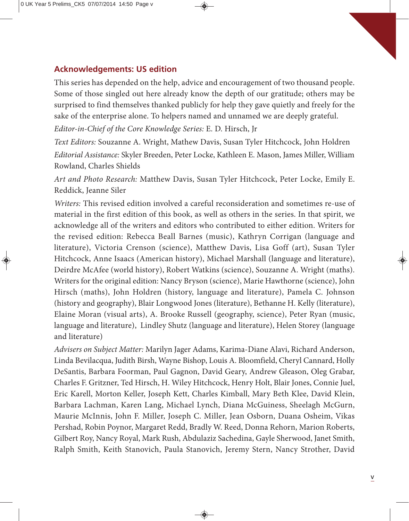#### **Acknowledgements: US edition**

This series has depended on the help, advice and encouragement of two thousand people. Some of those singled out here already know the depth of our gratitude; others may be surprised to find themselves thanked publicly for help they gave quietly and freely for the sake of the enterprise alone. To helpers named and unnamed we are deeply grateful.

Editor-in-Chief of the Core Knowledge Series: E. D. Hirsch, Jr

Text Editors: Souzanne A. Wright, Mathew Davis, Susan Tyler Hitchcock, John Holdren Editorial Assistance: Skyler Breeden, Peter Locke, Kathleen E. Mason, James Miller, William Rowland, Charles Shields

Art and Photo Research: Matthew Davis, Susan Tyler Hitchcock, Peter Locke, Emily E. Reddick, Jeanne Siler

Writers: This revised edition involved a careful reconsideration and sometimes re-use of material in the first edition of this book, as well as others in the series. In that spirit, we acknowledge all of the writers and editors who contributed to either edition. Writers for the revised edition: Rebecca Beall Barnes (music), Kathryn Corrigan (language and literature), Victoria Crenson (science), Matthew Davis, Lisa Goff (art), Susan Tyler Hitchcock, Anne Isaacs (American history), Michael Marshall (language and literature), Deirdre McAfee (world history), Robert Watkins (science), Souzanne A. Wright (maths). Writers for the original edition: Nancy Bryson (science), Marie Hawthorne (science), John Hirsch (maths), John Holdren (history, language and literature), Pamela C. Johnson (history and geography), Blair Longwood Jones (literature), Bethanne H. Kelly (literature), Elaine Moran (visual arts), A. Brooke Russell (geography, science), Peter Ryan (music, language and literature), Lindley Shutz (language and literature), Helen Storey (language and literature)

Advisers on Subject Matter: Marilyn Jager Adams, Karima-Diane Alavi, Richard Anderson, Linda Bevilacqua, Judith Birsh, Wayne Bishop, Louis A. Bloomfield, Cheryl Cannard, Holly DeSantis, Barbara Foorman, Paul Gagnon, David Geary, Andrew Gleason, Oleg Grabar, Charles F. Gritzner, Ted Hirsch, H. Wiley Hitchcock, Henry Holt, Blair Jones, Connie Juel, Eric Karell, Morton Keller, Joseph Kett, Charles Kimball, Mary Beth Klee, David Klein, Barbara Lachman, Karen Lang, Michael Lynch, Diana McGuiness, Sheelagh McGurn, Maurie McInnis, John F. Miller, Joseph C. Miller, Jean Osborn, Duana Osheim, Vikas Pershad, Robin Poynor, Margaret Redd, Bradly W. Reed, Donna Rehorn, Marion Roberts, Gilbert Roy, Nancy Royal, Mark Rush, Abdulaziz Sachedina, Gayle Sherwood, Janet Smith, Ralph Smith, Keith Stanovich, Paula Stanovich, Jeremy Stern, Nancy Strother, David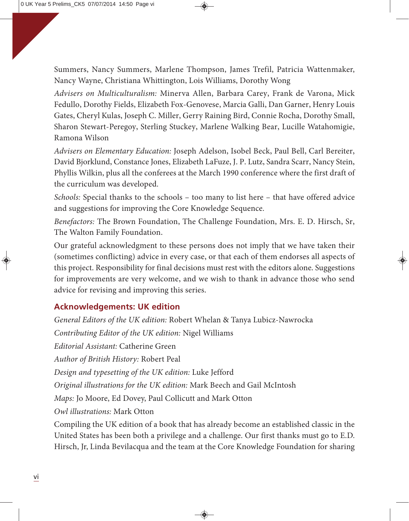Summers, Nancy Summers, Marlene Thompson, James Trefil, Patricia Wattenmaker, Nancy Wayne, Christiana Whittington, Lois Williams, Dorothy Wong

Advisers on Multiculturalism: Minerva Allen, Barbara Carey, Frank de Varona, Mick Fedullo, Dorothy Fields, Elizabeth Fox-Genovese, Marcia Galli, Dan Garner, Henry Louis Gates, Cheryl Kulas, Joseph C. Miller, Gerry Raining Bird, Connie Rocha, Dorothy Small, Sharon Stewart-Peregoy, Sterling Stuckey, Marlene Walking Bear, Lucille Watahomigie, Ramona Wilson

Advisers on Elementary Education: Joseph Adelson, Isobel Beck, Paul Bell, Carl Bereiter, David Bjorklund, Constance Jones, Elizabeth LaFuze, J. P. Lutz, Sandra Scarr, Nancy Stein, Phyllis Wilkin, plus all the conferees at the March 1990 conference where the first draft of the curriculum was developed.

Schools: Special thanks to the schools – too many to list here – that have offered advice and suggestions for improving the Core Knowledge Sequence.

Benefactors: The Brown Foundation, The Challenge Foundation, Mrs. E. D. Hirsch, Sr, The Walton Family Foundation.

Our grateful acknowledgment to these persons does not imply that we have taken their (sometimes conflicting) advice in every case, or that each of them endorses all aspects of this project. Responsibility for final decisions must rest with the editors alone. Suggestions for improvements are very welcome, and we wish to thank in advance those who send advice for revising and improving this series.

#### **Acknowledgements: UK edition**

General Editors of the UK edition: Robert Whelan & Tanya Lubicz-Nawrocka Contributing Editor of the UK edition: Nigel Williams Editorial Assistant: Catherine Green Author of British History: Robert Peal Design and typesetting of the UK edition: Luke Jefford Original illustrations for the UK edition: Mark Beech and Gail McIntosh Maps: Jo Moore, Ed Dovey, Paul Collicutt and Mark Otton Owl illustrations: Mark Otton Compiling the UK edition of a book that has already become an established classic in the

United States has been both a privilege and a challenge. Our first thanks must go to E.D. Hirsch, Jr, Linda Bevilacqua and the team at the Core Knowledge Foundation for sharing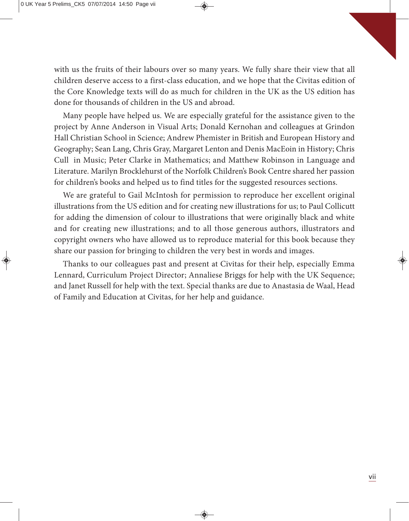with us the fruits of their labours over so many years. We fully share their view that all children deserve access to a first-class education, and we hope that the Civitas edition of the Core Knowledge texts will do as much for children in the UK as the US edition has done for thousands of children in the US and abroad.

Many people have helped us. We are especially grateful for the assistance given to the project by Anne Anderson in Visual Arts; Donald Kernohan and colleagues at Grindon Hall Christian School in Science; Andrew Phemister in British and European History and Geography; Sean Lang, Chris Gray, Margaret Lenton and Denis MacEoin in History; Chris Cull in Music; Peter Clarke in Mathematics; and Matthew Robinson in Language and Literature. Marilyn Brocklehurst of the Norfolk Children's Book Centre shared her passion for children's books and helped us to find titles for the suggested resources sections.

We are grateful to Gail McIntosh for permission to reproduce her excellent original illustrations from the US edition and for creating new illustrations for us; to Paul Collicutt for adding the dimension of colour to illustrations that were originally black and white and for creating new illustrations; and to all those generous authors, illustrators and copyright owners who have allowed us to reproduce material for this book because they share our passion for bringing to children the very best in words and images.

Thanks to our colleagues past and present at Civitas for their help, especially Emma Lennard, Curriculum Project Director; Annaliese Briggs for help with the UK Sequence; and Janet Russell for help with the text. Special thanks are due to Anastasia de Waal, Head of Family and Education at Civitas, for her help and guidance.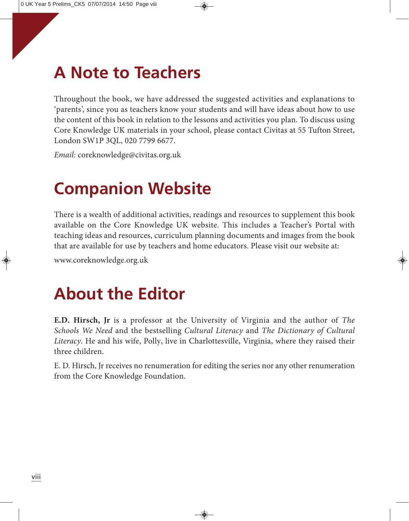## **A Note to Teachers**

Throughout the book, we have addressed the suggested activities and explanations to 'parents', since you as teachers know your students and will have ideas about how to use the content of this book in relation to the lessons and activities you plan. To discuss using Core Knowledge UK materials in your school, please contact Civitas at 55 Tufton Street, London SW1P 3QL, 020 7799 6677.

Email: coreknowledge@civitas.org.uk

## **Companion Website**

There is a wealth of additional activities, readings and resources to supplement this book available on the Core Knowledge UK website. This includes a Teacher's Portal with teaching ideas and resources, curriculum planning documents and images from the book that are available for use by teachers and home educators. Please visit our website at:

www.coreknowledge.org.uk

## **About the Editor**

**E.D. Hirsch, Jr** is a professor at the University of Virginia and the author of The Schools We Need and the bestselling Cultural Literacy and The Dictionary of Cultural Literacy. He and his wife, Polly, live in Charlottesville, Virginia, where they raised their three children.

E. D. Hirsch, Jr receives no renumeration for editing the series nor any other renumeration from the Core Knowledge Foundation.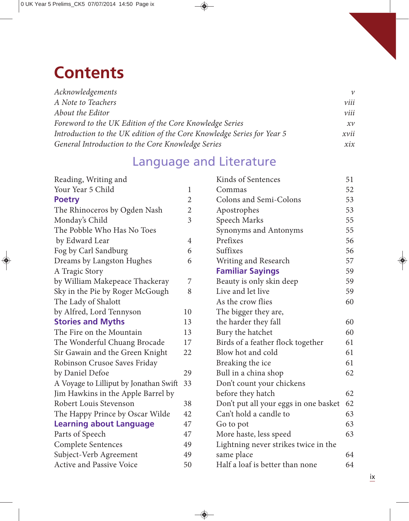## **Contents**

| Acknowledgements                                                       | $\boldsymbol{\nu}$ |
|------------------------------------------------------------------------|--------------------|
| A Note to Teachers                                                     | viii               |
| About the Editor                                                       | viii               |
| Foreword to the UK Edition of the Core Knowledge Series                | $\chi$             |
| Introduction to the UK edition of the Core Knowledge Series for Year 5 | xvii               |
| General Introduction to the Core Knowledge Series                      | xix                |

Language and Literature

| Reading, Writing and                   |                |
|----------------------------------------|----------------|
| Your Year 5 Child                      | 1              |
| <b>Poetry</b>                          | $\overline{c}$ |
| The Rhinoceros by Ogden Nash           | $\overline{2}$ |
| Monday's Child                         | 3              |
| The Pobble Who Has No Toes             |                |
| by Edward Lear                         | $\overline{4}$ |
| Fog by Carl Sandburg                   | 6              |
| Dreams by Langston Hughes              | 6              |
| A Tragic Story                         |                |
| by William Makepeace Thackeray         | 7              |
| Sky in the Pie by Roger McGough        | 8              |
| The Lady of Shalott                    |                |
| by Alfred, Lord Tennyson               | 10             |
| <b>Stories and Myths</b>               | 13             |
| The Fire on the Mountain               | 13             |
| The Wonderful Chuang Brocade           | 17             |
| Sir Gawain and the Green Knight        | 22             |
| Robinson Crusoe Saves Friday           |                |
| by Daniel Defoe                        | 29             |
| A Voyage to Lilliput by Jonathan Swift | 33             |
| Jim Hawkins in the Apple Barrel by     |                |
| Robert Louis Stevenson                 | 38             |
| The Happy Prince by Oscar Wilde        | 42             |
| <b>Learning about Language</b>         | 47             |
| Parts of Speech                        | 47             |
| <b>Complete Sentences</b>              | 49             |
| Subject-Verb Agreement                 | 49             |
| Active and Passive Voice               | 50             |

| Kinds of Sentences                    | 51 |
|---------------------------------------|----|
| Commas                                | 52 |
| Colons and Semi-Colons                | 53 |
| Apostrophes                           | 53 |
| Speech Marks                          | 55 |
| Synonyms and Antonyms                 | 55 |
| Prefixes                              | 56 |
| Suffixes                              | 56 |
| Writing and Research                  | 57 |
| <b>Familiar Sayings</b>               | 59 |
| Beauty is only skin deep              | 59 |
| Live and let live                     | 59 |
| As the crow flies                     | 60 |
| The bigger they are,                  |    |
| the harder they fall                  | 60 |
| Bury the hatchet                      | 60 |
| Birds of a feather flock together     | 61 |
| Blow hot and cold                     | 61 |
| Breaking the ice                      | 61 |
| Bull in a china shop                  | 62 |
| Don't count your chickens             |    |
| before they hatch                     | 62 |
| Don't put all your eggs in one basket | 62 |
| Can't hold a candle to                | 63 |
| Go to pot                             | 63 |
| More haste, less speed                | 63 |
| Lightning never strikes twice in the  |    |
| same place                            | 64 |
| Half a loaf is better than none       | 64 |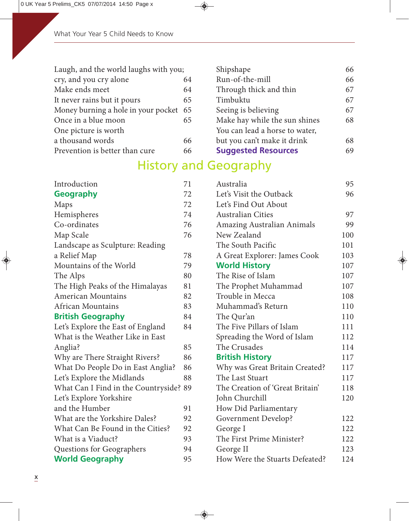| Laugh, and the world laughs with you; |
|---------------------------------------|
| 64                                    |
| 64                                    |
| 65                                    |
| 65                                    |
| 65                                    |
|                                       |
| 66                                    |
| 66                                    |
|                                       |

| Shipshape                      | 66 |
|--------------------------------|----|
| Run-of-the-mill                | 66 |
| Through thick and thin         | 67 |
| Timbuktu                       | 67 |
| Seeing is believing            | 67 |
| Make hay while the sun shines  | 68 |
| You can lead a horse to water, |    |
| but you can't make it drink    | 68 |
| <b>Suggested Resources</b>     |    |

### History and Geography

| Geography<br>Maps<br>Hemispheres<br>Co-ordinates<br>Map Scale<br>Landscape as Sculpture: Reading<br>a Relief Map<br>Mountains of the World<br>The Alps<br>The High Peaks of the Himalayas<br><b>American Mountains</b><br>African Mountains<br><b>British Geography</b><br>Let's Explore the East of England<br>What is the Weather Like in East<br>Anglia?<br>Why are There Straight Rivers?<br>What Do People Do in East Anglia?<br>Let's Explore the Midlands<br>What Can I Find in the Countryside? | 72<br>72<br>74<br>76<br>76<br>78<br>79<br>80<br>81<br>82 |
|---------------------------------------------------------------------------------------------------------------------------------------------------------------------------------------------------------------------------------------------------------------------------------------------------------------------------------------------------------------------------------------------------------------------------------------------------------------------------------------------------------|----------------------------------------------------------|
|                                                                                                                                                                                                                                                                                                                                                                                                                                                                                                         |                                                          |
|                                                                                                                                                                                                                                                                                                                                                                                                                                                                                                         |                                                          |
|                                                                                                                                                                                                                                                                                                                                                                                                                                                                                                         |                                                          |
|                                                                                                                                                                                                                                                                                                                                                                                                                                                                                                         |                                                          |
|                                                                                                                                                                                                                                                                                                                                                                                                                                                                                                         |                                                          |
|                                                                                                                                                                                                                                                                                                                                                                                                                                                                                                         |                                                          |
|                                                                                                                                                                                                                                                                                                                                                                                                                                                                                                         |                                                          |
|                                                                                                                                                                                                                                                                                                                                                                                                                                                                                                         |                                                          |
|                                                                                                                                                                                                                                                                                                                                                                                                                                                                                                         |                                                          |
|                                                                                                                                                                                                                                                                                                                                                                                                                                                                                                         |                                                          |
|                                                                                                                                                                                                                                                                                                                                                                                                                                                                                                         |                                                          |
|                                                                                                                                                                                                                                                                                                                                                                                                                                                                                                         | 83                                                       |
|                                                                                                                                                                                                                                                                                                                                                                                                                                                                                                         | 84                                                       |
|                                                                                                                                                                                                                                                                                                                                                                                                                                                                                                         | 84                                                       |
|                                                                                                                                                                                                                                                                                                                                                                                                                                                                                                         |                                                          |
|                                                                                                                                                                                                                                                                                                                                                                                                                                                                                                         | 85                                                       |
|                                                                                                                                                                                                                                                                                                                                                                                                                                                                                                         | 86                                                       |
|                                                                                                                                                                                                                                                                                                                                                                                                                                                                                                         | 86                                                       |
|                                                                                                                                                                                                                                                                                                                                                                                                                                                                                                         | 88                                                       |
|                                                                                                                                                                                                                                                                                                                                                                                                                                                                                                         | 89                                                       |
| Let's Explore Yorkshire                                                                                                                                                                                                                                                                                                                                                                                                                                                                                 |                                                          |
| and the Humber                                                                                                                                                                                                                                                                                                                                                                                                                                                                                          | 91                                                       |
| What are the Yorkshire Dales?                                                                                                                                                                                                                                                                                                                                                                                                                                                                           | 92                                                       |
| What Can Be Found in the Cities?                                                                                                                                                                                                                                                                                                                                                                                                                                                                        | 92                                                       |
| What is a Viaduct?                                                                                                                                                                                                                                                                                                                                                                                                                                                                                      | 93                                                       |
| Questions for Geographers                                                                                                                                                                                                                                                                                                                                                                                                                                                                               |                                                          |
| <b>World Geography</b><br>95                                                                                                                                                                                                                                                                                                                                                                                                                                                                            | 94                                                       |

| Australia                       | 95  |
|---------------------------------|-----|
| Let's Visit the Outback         | 96  |
| Let's Find Out About            |     |
| <b>Australian Cities</b>        | 97  |
| Amazing Australian Animals      | 99  |
| New Zealand                     | 100 |
| The South Pacific               | 101 |
| A Great Explorer: James Cook    | 103 |
| <b>World History</b>            | 107 |
| The Rise of Islam               | 107 |
| The Prophet Muhammad            | 107 |
| Trouble in Mecca                | 108 |
| Muhammad's Return               | 110 |
| The Qur'an                      | 110 |
| The Five Pillars of Islam       | 111 |
| Spreading the Word of Islam     | 112 |
| The Crusades                    | 114 |
| <b>British History</b>          | 117 |
| Why was Great Britain Created?  | 117 |
| The Last Stuart                 | 117 |
| The Creation of 'Great Britain' | 118 |
| John Churchill                  | 120 |
| How Did Parliamentary           |     |
| <b>Government Develop?</b>      | 122 |
| George I                        | 122 |
| The First Prime Minister?       | 122 |
| George II                       | 123 |
| How Were the Stuarts Defeated?  | 124 |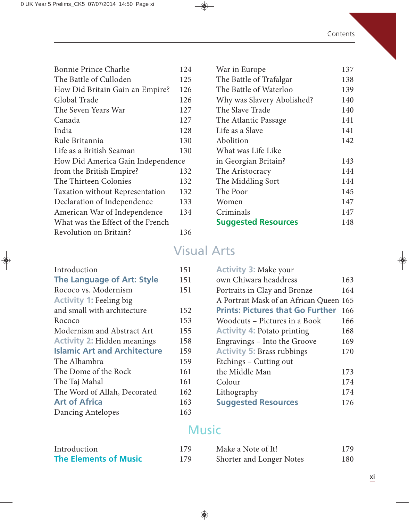| 124                               |
|-----------------------------------|
| 125                               |
| 126                               |
| 126                               |
| 127                               |
| 127                               |
| 128                               |
| 130                               |
| 130                               |
| How Did America Gain Independence |
| 132                               |
| 132                               |
| 132                               |
| 133                               |
| 134                               |
|                                   |
| 136                               |
|                                   |

| Introduction                        | 151 |
|-------------------------------------|-----|
| The Language of Art: Style          | 151 |
| Rococo vs. Modernism                | 151 |
| <b>Activity 1: Feeling big</b>      |     |
| and small with architecture         | 152 |
| Rococo                              | 153 |
| Modernism and Abstract Art          | 155 |
| <b>Activity 2: Hidden meanings</b>  | 158 |
| <b>Islamic Art and Architecture</b> | 159 |
| The Alhambra                        | 159 |
| The Dome of the Rock                | 161 |
| The Taj Mahal                       | 161 |
| The Word of Allah, Decorated        | 162 |
| <b>Art of Africa</b>                | 163 |
| Dancing Antelopes                   | 163 |
|                                     |     |

| War in Europe              | 137 |
|----------------------------|-----|
| The Battle of Trafalgar    | 138 |
| The Battle of Waterloo     | 139 |
| Why was Slavery Abolished? | 140 |
| The Slave Trade            | 140 |
| The Atlantic Passage       | 141 |
| Life as a Slave            | 141 |
| Abolition                  | 142 |
| What was Life Like         |     |
| in Georgian Britain?       | 143 |
| The Aristocracy            | 144 |
| The Middling Sort          | 144 |
| The Poor                   | 145 |
| Women                      | 147 |
| Criminals                  | 147 |
| <b>Suggested Resources</b> | 148 |
|                            |     |

### Visual Arts

| <b>Activity 3: Make your</b>            |     |
|-----------------------------------------|-----|
| own Chiwara headdress                   | 163 |
| Portraits in Clay and Bronze            | 164 |
| A Portrait Mask of an African Queen 165 |     |
| <b>Prints: Pictures that Go Further</b> | 166 |
| Woodcuts – Pictures in a Book           | 166 |
| <b>Activity 4: Potato printing</b>      | 168 |
| Engravings - Into the Groove            | 169 |
| <b>Activity 5: Brass rubbings</b>       | 170 |
| Etchings – Cutting out                  |     |
| the Middle Man                          | 173 |
| Colour                                  | 174 |
| Lithography                             | 174 |
| <b>Suggested Resources</b>              | 176 |
|                                         |     |

### **Music**

| Introduction                 | 179 | Make a Note of It!       | 179 |
|------------------------------|-----|--------------------------|-----|
| <b>The Elements of Music</b> | 179 | Shorter and Longer Notes | 180 |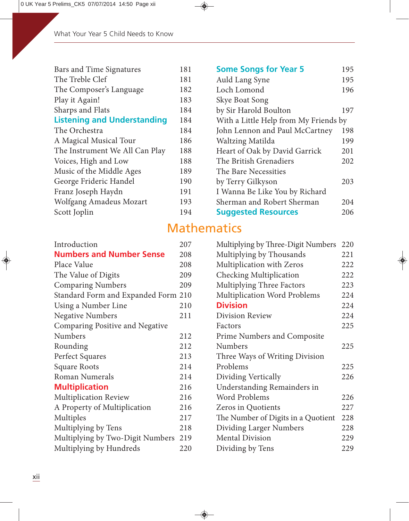| Bars and Time Signatures           | 181 |
|------------------------------------|-----|
| The Treble Clef                    | 181 |
| The Composer's Language            | 182 |
| Play it Again!                     | 183 |
| Sharps and Flats                   | 184 |
| <b>Listening and Understanding</b> | 184 |
| The Orchestra                      | 184 |
| A Magical Musical Tour             | 186 |
| The Instrument We All Can Play     | 188 |
| Voices, High and Low               | 188 |
| Music of the Middle Ages           | 189 |
| George Frideric Handel             | 190 |
| Franz Joseph Haydn                 | 191 |
| Wolfgang Amadeus Mozart            | 193 |
| Scott Joplin                       | 194 |
|                                    |     |

| <b>Some Songs for Year 5</b>          | 195 |
|---------------------------------------|-----|
| Auld Lang Syne                        | 195 |
| Loch Lomond                           | 196 |
| Skye Boat Song                        |     |
| by Sir Harold Boulton                 | 197 |
| With a Little Help from My Friends by |     |
| John Lennon and Paul McCartney        | 198 |
| Waltzing Matilda                      | 199 |
| Heart of Oak by David Garrick         | 201 |
| The British Grenadiers                | 202 |
| The Bare Necessities                  |     |
| by Terry Gilkyson                     | 203 |
| I Wanna Be Like You by Richard        |     |
| Sherman and Robert Sherman            | 204 |
| <b>Suggested Resources</b>            | 206 |
|                                       |     |

### Mathematics

| Introduction                        | 207 |
|-------------------------------------|-----|
| <b>Numbers and Number Sense</b>     | 208 |
| Place Value                         | 208 |
| The Value of Digits                 | 209 |
| <b>Comparing Numbers</b>            | 209 |
| Standard Form and Expanded Form 210 |     |
| Using a Number Line                 | 210 |
| <b>Negative Numbers</b>             | 211 |
| Comparing Positive and Negative     |     |
| <b>Numbers</b>                      | 212 |
| Rounding                            | 212 |
| Perfect Squares                     | 213 |
| <b>Square Roots</b>                 | 214 |
| Roman Numerals                      | 214 |
| <b>Multiplication</b>               | 216 |
| <b>Multiplication Review</b>        | 216 |
| A Property of Multiplication        | 216 |
| Multiples                           | 217 |
| Multiplying by Tens                 | 218 |
| Multiplying by Two-Digit Numbers    | 219 |
| Multiplying by Hundreds             | 220 |

| Multiplying by Three-Digit Numbers  | 220 |
|-------------------------------------|-----|
| Multiplying by Thousands            | 221 |
| Multiplication with Zeros           | 222 |
| <b>Checking Multiplication</b>      | 222 |
| <b>Multiplying Three Factors</b>    | 223 |
| <b>Multiplication Word Problems</b> | 224 |
| <b>Division</b>                     | 224 |
| Division Review                     | 224 |
| Factors                             | 225 |
| Prime Numbers and Composite         |     |
| Numbers                             | 225 |
| Three Ways of Writing Division      |     |
| Problems                            | 225 |
| Dividing Vertically                 | 226 |
| Understanding Remainders in         |     |
| <b>Word Problems</b>                | 226 |
| Zeros in Quotients                  | 227 |
| The Number of Digits in a Quotient  | 228 |
| Dividing Larger Numbers             | 228 |
| <b>Mental Division</b>              | 229 |
| Dividing by Tens                    | 229 |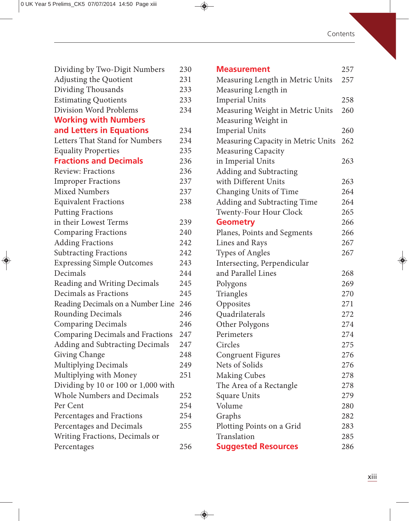| Dividing by Two-Digit Numbers       | 230 |
|-------------------------------------|-----|
| Adjusting the Quotient              | 231 |
| Dividing Thousands                  | 233 |
| <b>Estimating Quotients</b>         | 233 |
| Division Word Problems              | 234 |
| <b>Working with Numbers</b>         |     |
| and Letters in Equations            | 234 |
| Letters That Stand for Numbers      | 234 |
| <b>Equality Properties</b>          | 235 |
| <b>Fractions and Decimals</b>       | 236 |
| <b>Review: Fractions</b>            | 236 |
| <b>Improper Fractions</b>           | 237 |
| <b>Mixed Numbers</b>                | 237 |
| <b>Equivalent Fractions</b>         | 238 |
| <b>Putting Fractions</b>            |     |
| in their Lowest Terms               | 239 |
| <b>Comparing Fractions</b>          | 240 |
| <b>Adding Fractions</b>             | 242 |
| <b>Subtracting Fractions</b>        | 242 |
| <b>Expressing Simple Outcomes</b>   | 243 |
| Decimals                            | 244 |
| Reading and Writing Decimals        | 245 |
| Decimals as Fractions               | 245 |
| Reading Decimals on a Number Line   | 246 |
| <b>Rounding Decimals</b>            | 246 |
| <b>Comparing Decimals</b>           | 246 |
| Comparing Decimals and Fractions    | 247 |
| Adding and Subtracting Decimals     | 247 |
| Giving Change                       | 248 |
| <b>Multiplying Decimals</b>         | 249 |
| Multiplying with Money              | 251 |
| Dividing by 10 or 100 or 1,000 with |     |
| Whole Numbers and Decimals          | 252 |
| Per Cent                            | 254 |
| Percentages and Fractions           | 254 |
| Percentages and Decimals            | 255 |
| Writing Fractions, Decimals or      |     |
| Percentages                         | 256 |

| 257 |
|-----|
| 257 |
|     |
| 258 |
| 260 |
|     |
| 260 |
| 262 |
|     |
| 263 |
|     |
| 263 |
| 264 |
| 264 |
| 265 |
| 266 |
| 266 |
| 267 |
| 267 |
|     |
| 268 |
| 269 |
| 270 |
| 271 |
| 272 |
| 274 |
| 274 |
| 275 |
| 276 |
| 276 |
| 278 |
| 278 |
| 279 |
| 280 |
| 282 |
| 283 |
| 285 |
| 286 |
|     |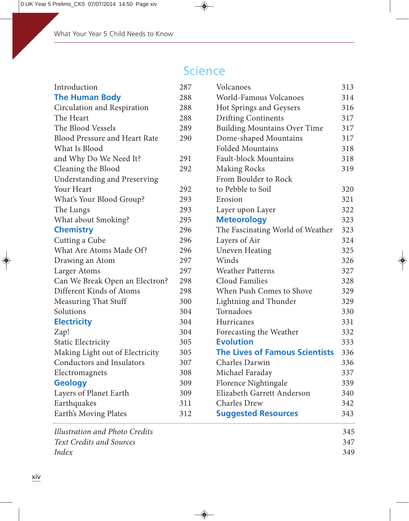### **Science**

| Introduction                    | 287 | Volcanoes                             | 313 |
|---------------------------------|-----|---------------------------------------|-----|
| <b>The Human Body</b>           | 288 | World-Famous Volcanoes                | 314 |
| Circulation and Respiration     | 288 | Hot Springs and Geysers               | 316 |
| The Heart                       | 288 | <b>Drifting Continents</b>            | 317 |
| The Blood Vessels               | 289 | <b>Building Mountains Over Time</b>   | 317 |
| Blood Pressure and Heart Rate   | 290 | Dome-shaped Mountains                 | 317 |
| What Is Blood                   |     | <b>Folded Mountains</b>               | 318 |
| and Why Do We Need It?          | 291 | <b>Fault-block Mountains</b>          | 318 |
| Cleaning the Blood              | 292 | <b>Making Rocks</b>                   | 319 |
| Understanding and Preserving    |     | From Boulder to Rock                  |     |
| Your Heart                      | 292 | to Pebble to Soil                     | 320 |
| What's Your Blood Group?        | 293 | Erosion                               | 321 |
| The Lungs                       | 293 | Layer upon Layer                      | 322 |
| What about Smoking?             | 295 | <b>Meteorology</b>                    | 323 |
| <b>Chemistry</b>                | 296 | The Fascinating World of Weather      | 323 |
| Cutting a Cube                  | 296 | Layers of Air                         | 324 |
| What Are Atoms Made Of?         | 296 | <b>Uneven Heating</b>                 | 325 |
| Drawing an Atom                 | 297 | Winds                                 | 326 |
| Larger Atoms                    | 297 | <b>Weather Patterns</b>               | 327 |
| Can We Break Open an Electron?  | 298 | Cloud Families                        | 328 |
| Different Kinds of Atoms        | 298 | When Push Comes to Shove              | 329 |
| Measuring That Stuff            | 300 | Lightning and Thunder                 | 329 |
| Solutions                       | 304 | Tornadoes                             | 330 |
| <b>Electricity</b>              | 304 | Hurricanes                            | 331 |
| Zap!                            | 304 | Forecasting the Weather               | 332 |
| <b>Static Electricity</b>       | 305 | <b>Evolution</b>                      | 333 |
| Making Light out of Electricity | 305 | <b>The Lives of Famous Scientists</b> | 336 |
| Conductors and Insulators       | 307 | Charles Darwin                        | 336 |
| Electromagnets                  | 308 | Michael Faraday                       | 337 |
| <b>Geology</b>                  | 309 | Florence Nightingale                  | 339 |
| Layers of Planet Earth          | 309 | Elizabeth Garrett Anderson            | 340 |
| Earthquakes                     | 311 | <b>Charles Drew</b>                   | 342 |
| Earth's Moving Plates           | 312 | <b>Suggested Resources</b>            | 343 |
| Illustration and Dhoto Crodits  |     |                                       | 315 |

| Illustration and Photo Credits | 345 |
|--------------------------------|-----|
| Text Credits and Sources       | 347 |
| Index                          | 349 |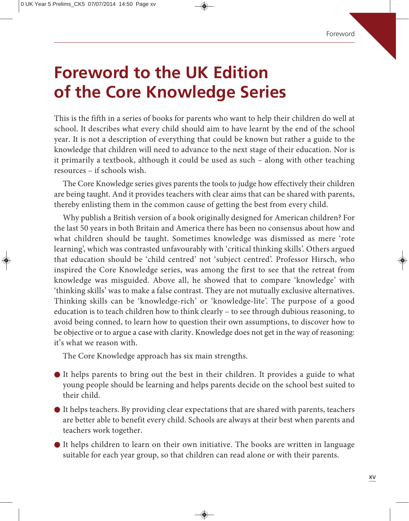### **Foreword to the UK Edition of the Core Knowledge Series**

This is the fifth in a series of books for parents who want to help their children do well at school. It describes what every child should aim to have learnt by the end of the school year. It is not a description of everything that could be known but rather a guide to the knowledge that children will need to advance to the next stage of their education. Nor is it primarily a textbook, although it could be used as such – along with other teaching resources – if schools wish.

The Core Knowledge series gives parents the tools to judge how effectively their children are being taught. And it provides teachers with clear aims that can be shared with parents, thereby enlisting them in the common cause of getting the best from every child.

Why publish a British version of a book originally designed for American children? For the last 50 years in both Britain and America there has been no consensus about how and what children should be taught. Sometimes knowledge was dismissed as mere 'rote learning', which was contrasted unfavourably with 'critical thinking skills'. Others argued that education should be 'child centred' not 'subject centred'. Professor Hirsch, who inspired the Core Knowledge series, was among the first to see that the retreat from knowledge was misguided. Above all, he showed that to compare 'knowledge' with 'thinking skills' was to make a false contrast. They are not mutually exclusive alternatives. Thinking skills can be 'knowledge-rich' or 'knowledge-lite'. The purpose of a good education is to teach children how to think clearly – to see through dubious reasoning, to avoid being conned, to learn how to question their own assumptions, to discover how to be objective or to argue a case with clarity. Knowledge does not get in the way of reasoning: it's what we reason with.

The Core Knowledge approach has six main strengths.

- **●** It helps parents to bring out the best in their children. It provides a guide to what young people should be learning and helps parents decide on the school best suited to their child.
- **●** It helps teachers. By providing clear expectations that are shared with parents, teachers are better able to benefit every child. Schools are always at their best when parents and teachers work together.
- **●** It helps children to learn on their own initiative. The books are written in language suitable for each year group, so that children can read alone or with their parents.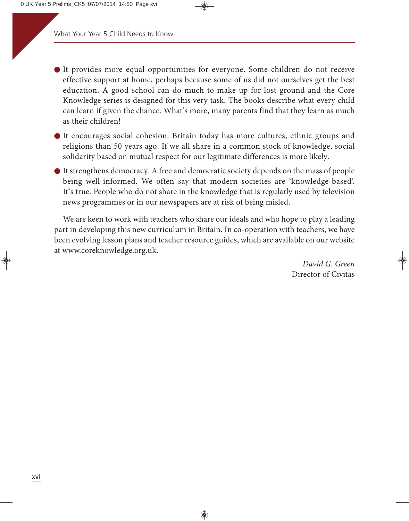- **●** It provides more equal opportunities for everyone. Some children do not receive effective support at home, perhaps because some of us did not ourselves get the best education. A good school can do much to make up for lost ground and the Core Knowledge series is designed for this very task. The books describe what every child can learn if given the chance. What's more, many parents find that they learn as much as their children!
- **●** It encourages social cohesion. Britain today has more cultures, ethnic groups and religions than 50 years ago. If we all share in a common stock of knowledge, social solidarity based on mutual respect for our legitimate differences is more likely.
- **●** It strengthens democracy. A free and democratic society depends on the mass of people being well-informed. We often say that modern societies are 'knowledge-based'. It's true. People who do not share in the knowledge that is regularly used by television news programmes or in our newspapers are at risk of being misled.

We are keen to work with teachers who share our ideals and who hope to play a leading part in developing this new curriculum in Britain. In co-operation with teachers, we have been evolving lesson plans and teacher resource guides, which are available on our website at www.coreknowledge.org.uk.

> David G. Green Director of Civitas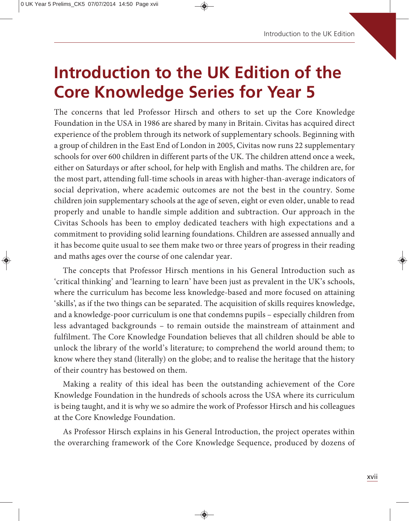## **Introduction to the UK Edition of the Core Knowledge Series for Year 5**

The concerns that led Professor Hirsch and others to set up the Core Knowledge Foundation in the USA in 1986 are shared by many in Britain. Civitas has acquired direct experience of the problem through its network of supplementary schools. Beginning with a group of children in the East End of London in 2005, Civitas now runs 22 supplementary schools for over 600 children in different parts of the UK. The children attend once a week, either on Saturdays or after school, for help with English and maths. The children are, for the most part, attending full-time schools in areas with higher-than-average indicators of social deprivation, where academic outcomes are not the best in the country. Some children join supplementary schools at the age of seven, eight or even older, unable to read properly and unable to handle simple addition and subtraction. Our approach in the Civitas Schools has been to employ dedicated teachers with high expectations and a commitment to providing solid learning foundations. Children are assessed annually and it has become quite usual to see them make two or three years of progress in their reading and maths ages over the course of one calendar year.

The concepts that Professor Hirsch mentions in his General Introduction such as 'critical thinking' and 'learning to learn' have been just as prevalent in the UK's schools, where the curriculum has become less knowledge-based and more focused on attaining 'skills', as if the two things can be separated. The acquisition of skills requires knowledge, and a knowledge-poor curriculum is one that condemns pupils – especially children from less advantaged backgrounds – to remain outside the mainstream of attainment and fulfilment. The Core Knowledge Foundation believes that all children should be able to unlock the library of the world's literature; to comprehend the world around them; to know where they stand (literally) on the globe; and to realise the heritage that the history of their country has bestowed on them.

Making a reality of this ideal has been the outstanding achievement of the Core Knowledge Foundation in the hundreds of schools across the USA where its curriculum is being taught, and it is why we so admire the work of Professor Hirsch and his colleagues at the Core Knowledge Foundation.

As Professor Hirsch explains in his General Introduction, the project operates within the overarching framework of the Core Knowledge Sequence, produced by dozens of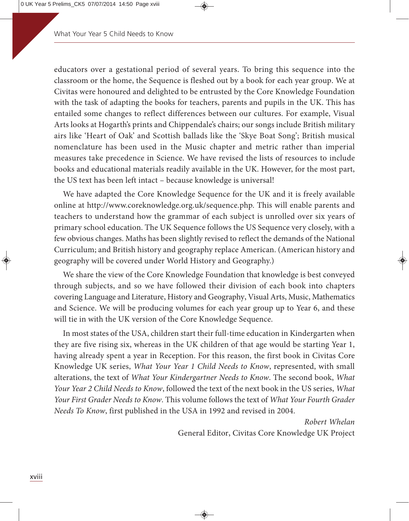educators over a gestational period of several years. To bring this sequence into the classroom or the home, the Sequence is fleshed out by a book for each year group. We at Civitas were honoured and delighted to be entrusted by the Core Knowledge Foundation with the task of adapting the books for teachers, parents and pupils in the UK. This has entailed some changes to reflect differences between our cultures. For example, Visual Arts looks at Hogarth's prints and Chippendale's chairs; our songs include British military airs like 'Heart of Oak' and Scottish ballads like the 'Skye Boat Song'; British musical nomenclature has been used in the Music chapter and metric rather than imperial measures take precedence in Science. We have revised the lists of resources to include books and educational materials readily available in the UK. However, for the most part, the US text has been left intact – because knowledge is universal!

We have adapted the Core Knowledge Sequence for the UK and it is freely available online at http://www.coreknowledge.org.uk/sequence.php. This will enable parents and teachers to understand how the grammar of each subject is unrolled over six years of primary school education. The UK Sequence follows the US Sequence very closely, with a few obvious changes. Maths has been slightly revised to reflect the demands of the National Curriculum; and British history and geography replace American. (American history and geography will be covered under World History and Geography.)

We share the view of the Core Knowledge Foundation that knowledge is best conveyed through subjects, and so we have followed their division of each book into chapters covering Language and Literature, History and Geography, Visual Arts, Music, Mathematics and Science. We will be producing volumes for each year group up to Year 6, and these will tie in with the UK version of the Core Knowledge Sequence.

In most states of the USA, children start their full-time education in Kindergarten when they are five rising six, whereas in the UK children of that age would be starting Year 1, having already spent a year in Reception. For this reason, the first book in Civitas Core Knowledge UK series, What Your Year 1 Child Needs to Know, represented, with small alterations, the text of What Your Kindergartner Needs to Know. The second book, What Your Year 2 Child Needs to Know, followed the text of the next book in the US series, What Your First Grader Needs to Know. This volume follows the text of What Your Fourth Grader Needs To Know, first published in the USA in 1992 and revised in 2004.

Robert Whelan

General Editor, Civitas Core Knowledge UK Project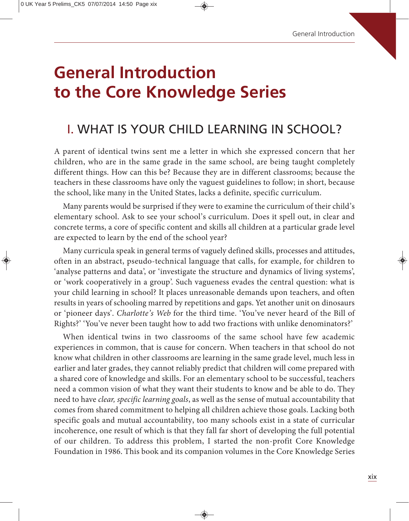### **General Introduction to the Core Knowledge Series**

#### I. WHAT IS YOUR CHILD LEARNING IN SCHOOL?

A parent of identical twins sent me a letter in which she expressed concern that her children, who are in the same grade in the same school, are being taught completely different things. How can this be? Because they are in different classrooms; because the teachers in these classrooms have only the vaguest guidelines to follow; in short, because the school, like many in the United States, lacks a definite, specific curriculum.

Many parents would be surprised if they were to examine the curriculum of their child's elementary school. Ask to see your school's curriculum. Does it spell out, in clear and concrete terms, a core of specific content and skills all children at a particular grade level are expected to learn by the end of the school year?

Many curricula speak in general terms of vaguely defined skills, processes and attitudes, often in an abstract, pseudo-technical language that calls, for example, for children to 'analyse patterns and data', or 'investigate the structure and dynamics of living systems', or 'work cooperatively in a group'. Such vagueness evades the central question: what is your child learning in school? It places unreasonable demands upon teachers, and often results in years of schooling marred by repetitions and gaps. Yet another unit on dinosaurs or 'pioneer days'. Charlotte*'*s Web for the third time. 'You've never heard of the Bill of Rights?' 'You've never been taught how to add two fractions with unlike denominators?'

When identical twins in two classrooms of the same school have few academic experiences in common, that is cause for concern. When teachers in that school do not know what children in other classrooms are learning in the same grade level, much less in earlier and later grades, they cannot reliably predict that children will come prepared with a shared core of knowledge and skills. For an elementary school to be successful, teachers need a common vision of what they want their students to know and be able to do. They need to have *clear, specific learning goals*, as well as the sense of mutual accountability that comes from shared commitment to helping all children achieve those goals. Lacking both specific goals and mutual accountability, too many schools exist in a state of curricular incoherence, one result of which is that they fall far short of developing the full potential of our children. To address this problem, I started the non-profit Core Knowledge Foundation in 1986. This book and its companion volumes in the Core Knowledge Series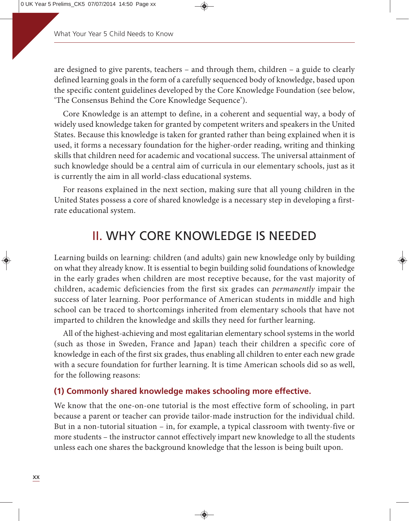are designed to give parents, teachers – and through them, children – a guide to clearly defined learning goals in the form of a carefully sequenced body of knowledge, based upon the specific content guidelines developed by the Core Knowledge Foundation (see below, 'The Consensus Behind the Core Knowledge Sequence').

Core Knowledge is an attempt to define, in a coherent and sequential way, a body of widely used knowledge taken for granted by competent writers and speakers in the United States. Because this knowledge is taken for granted rather than being explained when it is used, it forms a necessary foundation for the higher-order reading, writing and thinking skills that children need for academic and vocational success. The universal attainment of such knowledge should be a central aim of curricula in our elementary schools, just as it is currently the aim in all world-class educational systems.

For reasons explained in the next section, making sure that all young children in the United States possess a core of shared knowledge is a necessary step in developing a firstrate educational system.

#### II. WHY CORE KNOWLEDGE IS NEEDED

Learning builds on learning: children (and adults) gain new knowledge only by building on what they already know. It is essential to begin building solid foundations of knowledge in the early grades when children are most receptive because, for the vast majority of children, academic deficiencies from the first six grades can permanently impair the success of later learning. Poor performance of American students in middle and high school can be traced to shortcomings inherited from elementary schools that have not imparted to children the knowledge and skills they need for further learning.

All of the highest-achieving and most egalitarian elementary school systems in the world (such as those in Sweden, France and Japan) teach their children a specific core of knowledge in each of the first six grades, thus enabling all children to enter each new grade with a secure foundation for further learning. It is time American schools did so as well, for the following reasons:

#### **(1) Commonly shared knowledge makes schooling more effective.**

We know that the one-on-one tutorial is the most effective form of schooling, in part because a parent or teacher can provide tailor-made instruction for the individual child. But in a non-tutorial situation – in, for example, a typical classroom with twenty-five or more students – the instructor cannot effectively impart new knowledge to all the students unless each one shares the background knowledge that the lesson is being built upon.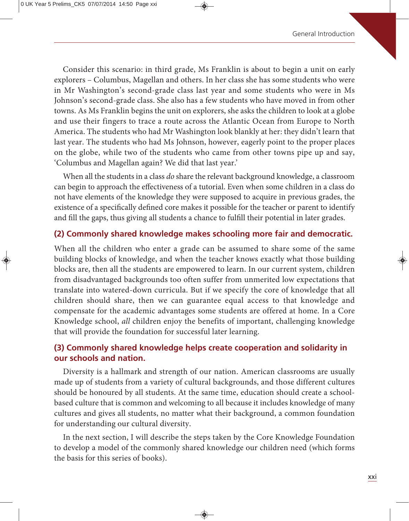Consider this scenario: in third grade, Ms Franklin is about to begin a unit on early explorers – Columbus, Magellan and others. In her class she has some students who were in Mr Washington's second-grade class last year and some students who were in Ms Johnson's second-grade class. She also has a few students who have moved in from other towns. As Ms Franklin begins the unit on explorers, she asks the children to look at a globe and use their fingers to trace a route across the Atlantic Ocean from Europe to North America. The students who had Mr Washington look blankly at her: they didn't learn that last year. The students who had Ms Johnson, however, eagerly point to the proper places on the globe, while two of the students who came from other towns pipe up and say, 'Columbus and Magellan again? We did that last year.'

When all the students in a class *do* share the relevant background knowledge, a classroom can begin to approach the effectiveness of a tutorial. Even when some children in a class do not have elements of the knowledge they were supposed to acquire in previous grades, the existence of a specifically defined core makes it possible for the teacher or parent to identify and fill the gaps, thus giving all students a chance to fulfill their potential in later grades.

#### **(2) Commonly shared knowledge makes schooling more fair and democratic.**

When all the children who enter a grade can be assumed to share some of the same building blocks of knowledge, and when the teacher knows exactly what those building blocks are, then all the students are empowered to learn. In our current system, children from disadvantaged backgrounds too often suffer from unmerited low expectations that translate into watered-down curricula. But if we specify the core of knowledge that all children should share, then we can guarantee equal access to that knowledge and compensate for the academic advantages some students are offered at home. In a Core Knowledge school, all children enjoy the benefits of important, challenging knowledge that will provide the foundation for successful later learning.

#### **(3) Commonly shared knowledge helps create cooperation and solidarity in our schools and nation.**

Diversity is a hallmark and strength of our nation. American classrooms are usually made up of students from a variety of cultural backgrounds, and those different cultures should be honoured by all students. At the same time, education should create a schoolbased culture that is common and welcoming to all because it includes knowledge of many cultures and gives all students, no matter what their background, a common foundation for understanding our cultural diversity.

In the next section, I will describe the steps taken by the Core Knowledge Foundation to develop a model of the commonly shared knowledge our children need (which forms the basis for this series of books).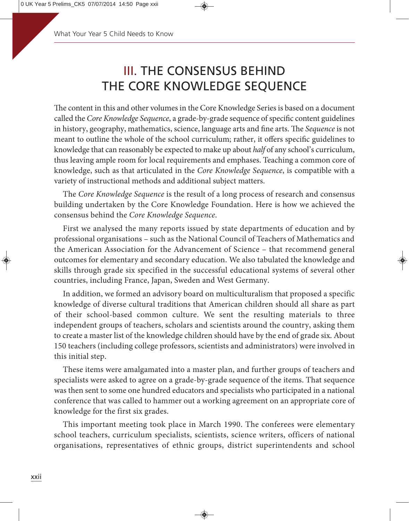### III. THE CONSENSUS BEHIND THE CORE KNOWLEDGE SEQUENCE

The content in this and other volumes in the Core Knowledge Series is based on a document called the Core Knowledge Sequence, a grade-by-grade sequence of specific content guidelines in history, geography, mathematics, science, language arts and fine arts. The *Sequence* is not meant to outline the whole of the school curriculum; rather, it offers specific guidelines to knowledge that can reasonably be expected to make up about half of any school's curriculum, thus leaving ample room for local requirements and emphases. Teaching a common core of knowledge, such as that articulated in the Core Knowledge Sequence, is compatible with a variety of instructional methods and additional subject matters.

The Core Knowledge Sequence is the result of a long process of research and consensus building undertaken by the Core Knowledge Foundation. Here is how we achieved the consensus behind the Core Knowledge Sequence.

First we analysed the many reports issued by state departments of education and by professional organisations – such as the National Council of Teachers of Mathematics and the American Association for the Advancement of Science – that recommend general outcomes for elementary and secondary education. We also tabulated the knowledge and skills through grade six specified in the successful educational systems of several other countries, including France, Japan, Sweden and West Germany.

In addition, we formed an advisory board on multiculturalism that proposed a specific knowledge of diverse cultural traditions that American children should all share as part of their school-based common culture. We sent the resulting materials to three independent groups of teachers, scholars and scientists around the country, asking them to create a master list of the knowledge children should have by the end of grade six. About 150 teachers (including college professors, scientists and administrators) were involved in this initial step.

These items were amalgamated into a master plan, and further groups of teachers and specialists were asked to agree on a grade-by-grade sequence of the items. That sequence was then sent to some one hundred educators and specialists who participated in a national conference that was called to hammer out a working agreement on an appropriate core of knowledge for the first six grades.

This important meeting took place in March 1990. The conferees were elementary school teachers, curriculum specialists, scientists, science writers, officers of national organisations, representatives of ethnic groups, district superintendents and school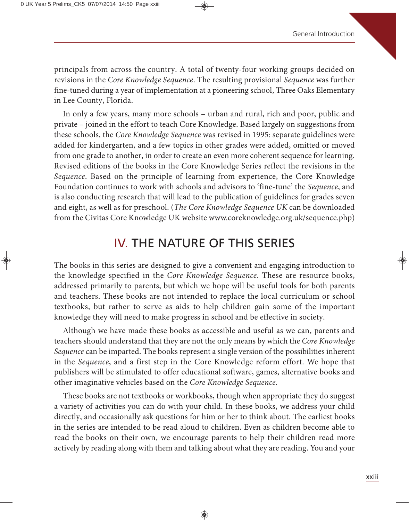principals from across the country. A total of twenty-four working groups decided on revisions in the Core Knowledge Sequence. The resulting provisional Sequence was further fine-tuned during a year of implementation at a pioneering school, Three Oaks Elementary in Lee County, Florida.

In only a few years, many more schools – urban and rural, rich and poor, public and private – joined in the effort to teach Core Knowledge. Based largely on suggestions from these schools, the Core Knowledge Sequence was revised in 1995: separate guidelines were added for kindergarten, and a few topics in other grades were added, omitted or moved from one grade to another, in order to create an even more coherent sequence for learning. Revised editions of the books in the Core Knowledge Series reflect the revisions in the Sequence. Based on the principle of learning from experience, the Core Knowledge Foundation continues to work with schools and advisors to 'fine-tune' the Sequence, and is also conducting research that will lead to the publication of guidelines for grades seven and eight, as well as for preschool. (The Core Knowledge Sequence UK can be downloaded from the Civitas Core Knowledge UK website www.coreknowledge.org.uk/sequence.php)

#### IV. THE NATURE OF THIS SERIES

The books in this series are designed to give a convenient and engaging introduction to the knowledge specified in the Core Knowledge Sequence. These are resource books, addressed primarily to parents, but which we hope will be useful tools for both parents and teachers. These books are not intended to replace the local curriculum or school textbooks, but rather to serve as aids to help children gain some of the important knowledge they will need to make progress in school and be effective in society.

Although we have made these books as accessible and useful as we can, parents and teachers should understand that they are not the only means by which the Core Knowledge Sequence can be imparted. The books represent a single version of the possibilities inherent in the Sequence, and a first step in the Core Knowledge reform effort. We hope that publishers will be stimulated to offer educational software, games, alternative books and other imaginative vehicles based on the Core Knowledge Sequence.

These books are not textbooks or workbooks, though when appropriate they do suggest a variety of activities you can do with your child. In these books, we address your child directly, and occasionally ask questions for him or her to think about. The earliest books in the series are intended to be read aloud to children. Even as children become able to read the books on their own, we encourage parents to help their children read more actively by reading along with them and talking about what they are reading. You and your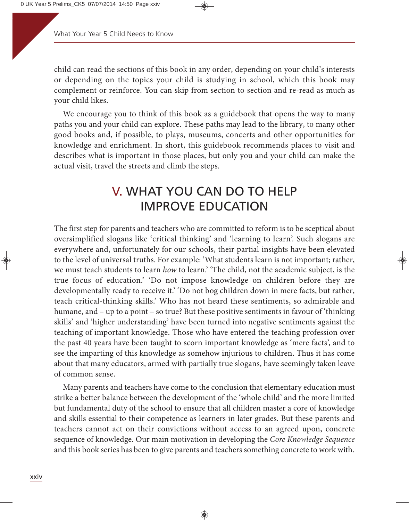child can read the sections of this book in any order, depending on your child's interests or depending on the topics your child is studying in school, which this book may complement or reinforce. You can skip from section to section and re-read as much as your child likes.

We encourage you to think of this book as a guidebook that opens the way to many paths you and your child can explore. These paths may lead to the library, to many other good books and, if possible, to plays, museums, concerts and other opportunities for knowledge and enrichment. In short, this guidebook recommends places to visit and describes what is important in those places, but only you and your child can make the actual visit, travel the streets and climb the steps.

#### V. WHAT YOU CAN DO TO HELP IMPROVE EDUCATION

The first step for parents and teachers who are committed to reform is to be sceptical about oversimplified slogans like 'critical thinking' and 'learning to learn'. Such slogans are everywhere and, unfortunately for our schools, their partial insights have been elevated to the level of universal truths. For example: 'What students learn is not important; rather, we must teach students to learn how to learn.' 'The child, not the academic subject, is the true focus of education.' 'Do not impose knowledge on children before they are developmentally ready to receive it.' 'Do not bog children down in mere facts, but rather, teach critical-thinking skills.' Who has not heard these sentiments, so admirable and humane, and – up to a point – so true? But these positive sentiments in favour of 'thinking skills' and 'higher understanding' have been turned into negative sentiments against the teaching of important knowledge. Those who have entered the teaching profession over the past 40 years have been taught to scorn important knowledge as 'mere facts', and to see the imparting of this knowledge as somehow injurious to children. Thus it has come about that many educators, armed with partially true slogans, have seemingly taken leave of common sense.

Many parents and teachers have come to the conclusion that elementary education must strike a better balance between the development of the 'whole child' and the more limited but fundamental duty of the school to ensure that all children master a core of knowledge and skills essential to their competence as learners in later grades. But these parents and teachers cannot act on their convictions without access to an agreed upon, concrete sequence of knowledge. Our main motivation in developing the Core Knowledge Sequence and this book series has been to give parents and teachers something concrete to work with.